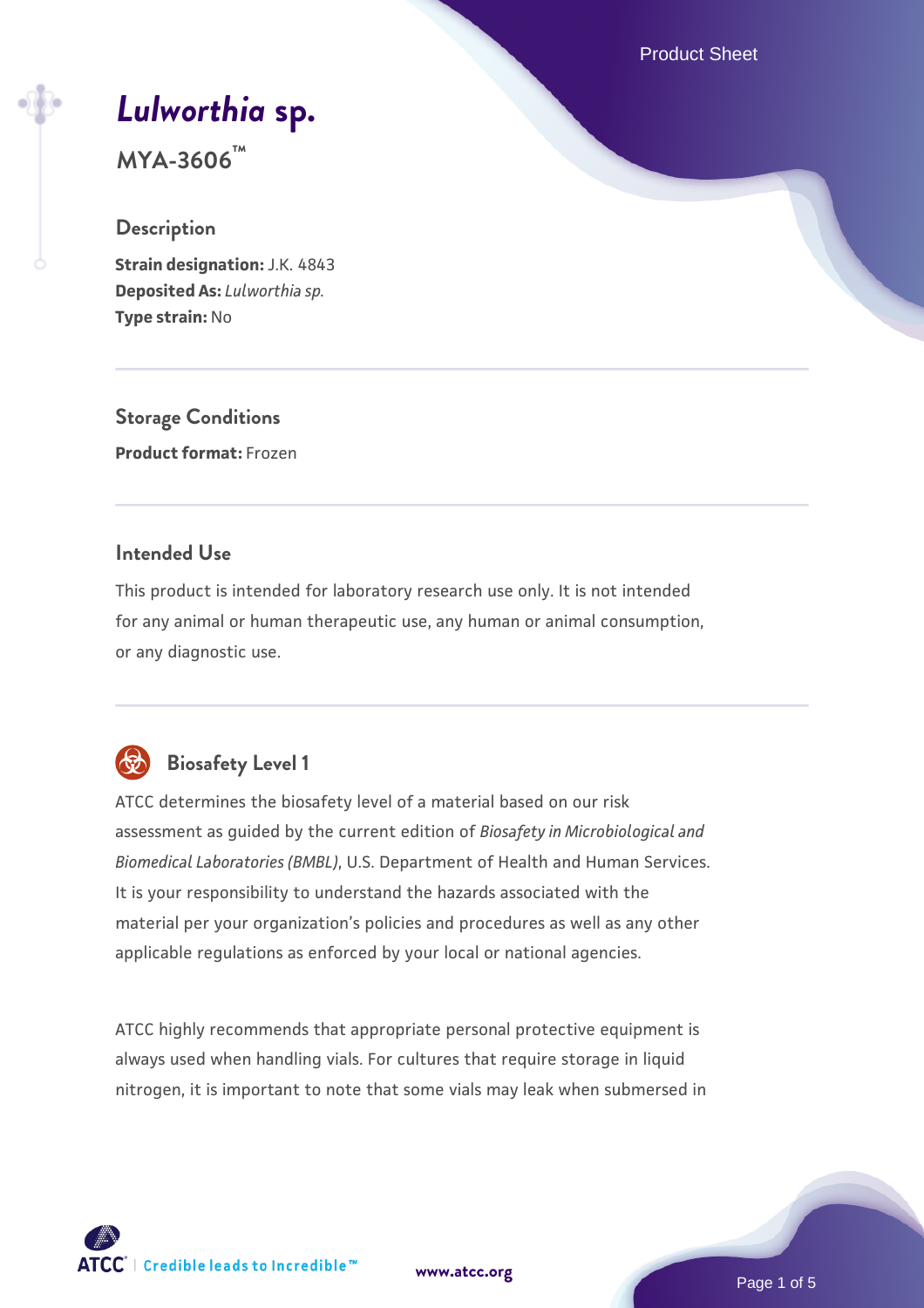Product Sheet

# *[Lulworthia](https://www.atcc.org/products/mya-3606)* **[sp.](https://www.atcc.org/products/mya-3606)**

**MYA-3606™**

#### **Description**

**Strain designation:** J.K. 4843 **Deposited As:** *Lulworthia sp.* **Type strain:** No

**Storage Conditions Product format:** Frozen

#### **Intended Use**

This product is intended for laboratory research use only. It is not intended for any animal or human therapeutic use, any human or animal consumption, or any diagnostic use.



# **Biosafety Level 1**

ATCC determines the biosafety level of a material based on our risk assessment as guided by the current edition of *Biosafety in Microbiological and Biomedical Laboratories (BMBL)*, U.S. Department of Health and Human Services. It is your responsibility to understand the hazards associated with the material per your organization's policies and procedures as well as any other applicable regulations as enforced by your local or national agencies.

ATCC highly recommends that appropriate personal protective equipment is always used when handling vials. For cultures that require storage in liquid nitrogen, it is important to note that some vials may leak when submersed in

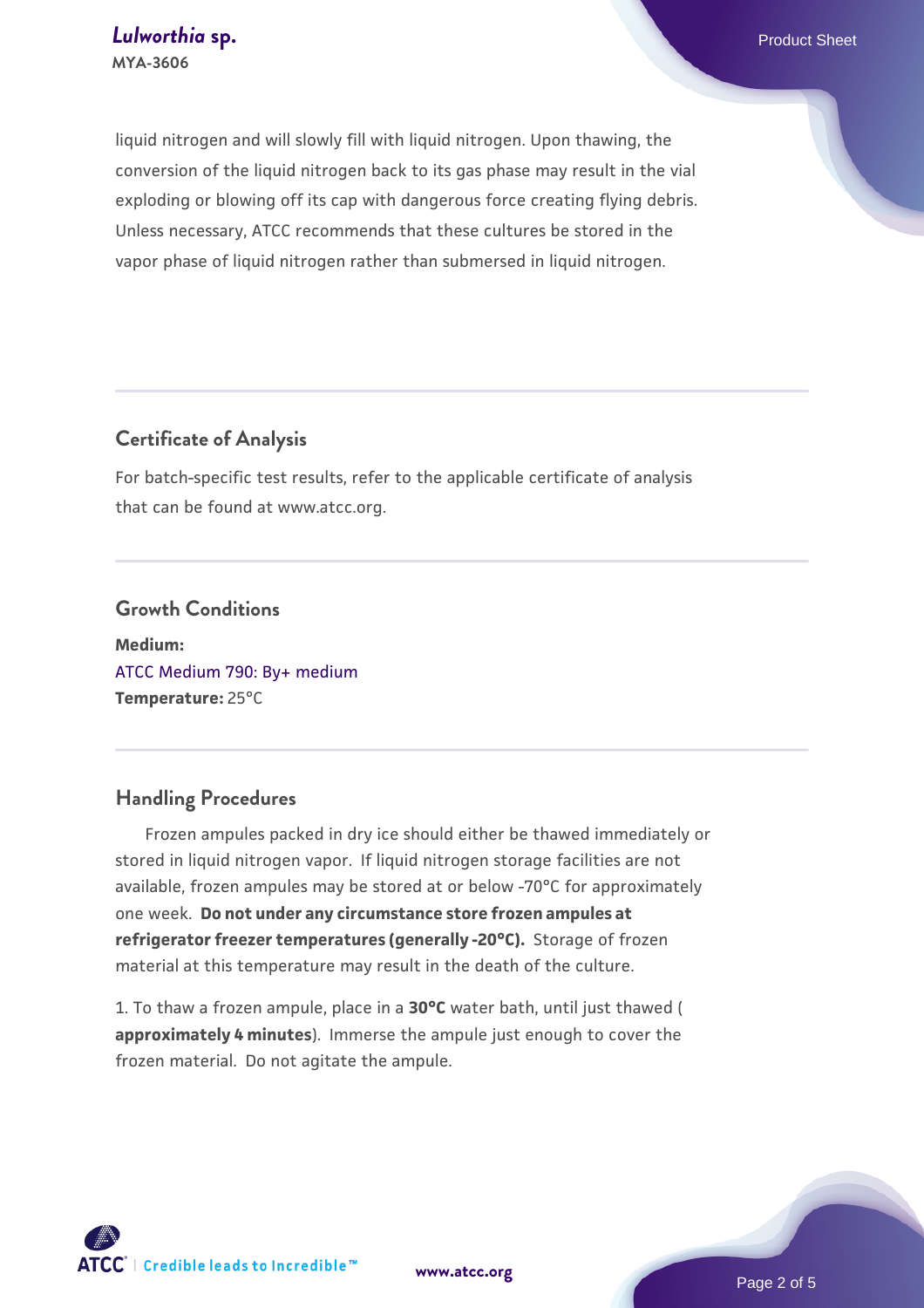liquid nitrogen and will slowly fill with liquid nitrogen. Upon thawing, the conversion of the liquid nitrogen back to its gas phase may result in the vial exploding or blowing off its cap with dangerous force creating flying debris. Unless necessary, ATCC recommends that these cultures be stored in the vapor phase of liquid nitrogen rather than submersed in liquid nitrogen.

#### **Certificate of Analysis**

For batch-specific test results, refer to the applicable certificate of analysis that can be found at www.atcc.org.

#### **Growth Conditions**

**Medium:**  [ATCC Medium 790: By+ medium](https://www.atcc.org/-/media/product-assets/documents/microbial-media-formulations/7/9/0/atcc-medium-790.pdf?rev=16bd8c73853840ee9a63d6a1f4589a74) **Temperature:** 25°C

#### **Handling Procedures**

 Frozen ampules packed in dry ice should either be thawed immediately or stored in liquid nitrogen vapor. If liquid nitrogen storage facilities are not available, frozen ampules may be stored at or below -70°C for approximately one week. **Do not under any circumstance store frozen ampules at refrigerator freezer temperatures (generally -20°C).** Storage of frozen material at this temperature may result in the death of the culture.

1. To thaw a frozen ampule, place in a **30°C** water bath, until just thawed ( **approximately 4 minutes**). Immerse the ampule just enough to cover the frozen material. Do not agitate the ampule.



**[www.atcc.org](http://www.atcc.org)**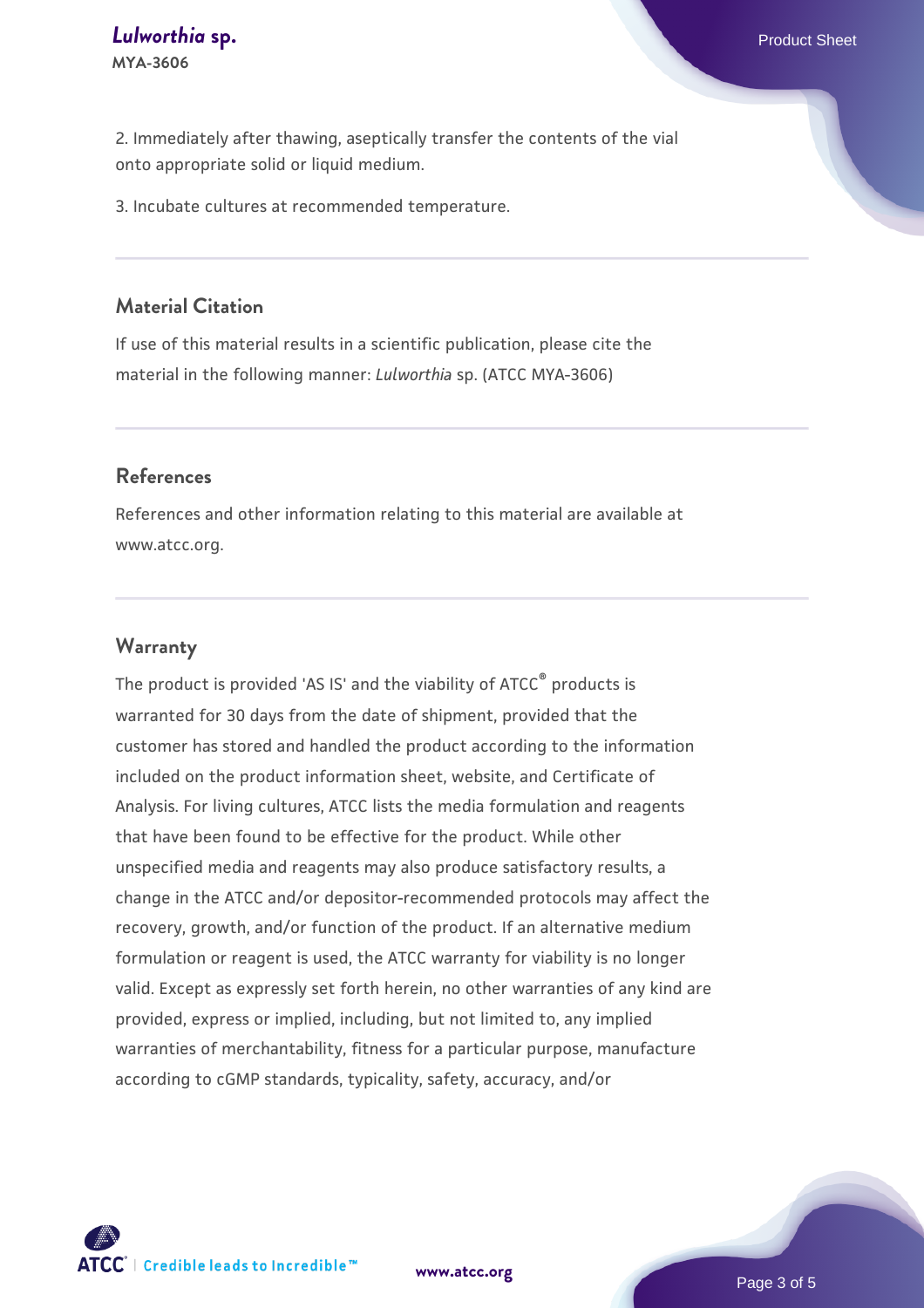2. Immediately after thawing, aseptically transfer the contents of the vial onto appropriate solid or liquid medium.

3. Incubate cultures at recommended temperature.

#### **Material Citation**

If use of this material results in a scientific publication, please cite the material in the following manner: *Lulworthia* sp. (ATCC MYA-3606)

#### **References**

References and other information relating to this material are available at www.atcc.org.

#### **Warranty**

The product is provided 'AS IS' and the viability of ATCC<sup>®</sup> products is warranted for 30 days from the date of shipment, provided that the customer has stored and handled the product according to the information included on the product information sheet, website, and Certificate of Analysis. For living cultures, ATCC lists the media formulation and reagents that have been found to be effective for the product. While other unspecified media and reagents may also produce satisfactory results, a change in the ATCC and/or depositor-recommended protocols may affect the recovery, growth, and/or function of the product. If an alternative medium formulation or reagent is used, the ATCC warranty for viability is no longer valid. Except as expressly set forth herein, no other warranties of any kind are provided, express or implied, including, but not limited to, any implied warranties of merchantability, fitness for a particular purpose, manufacture according to cGMP standards, typicality, safety, accuracy, and/or



**[www.atcc.org](http://www.atcc.org)**

Page 3 of 5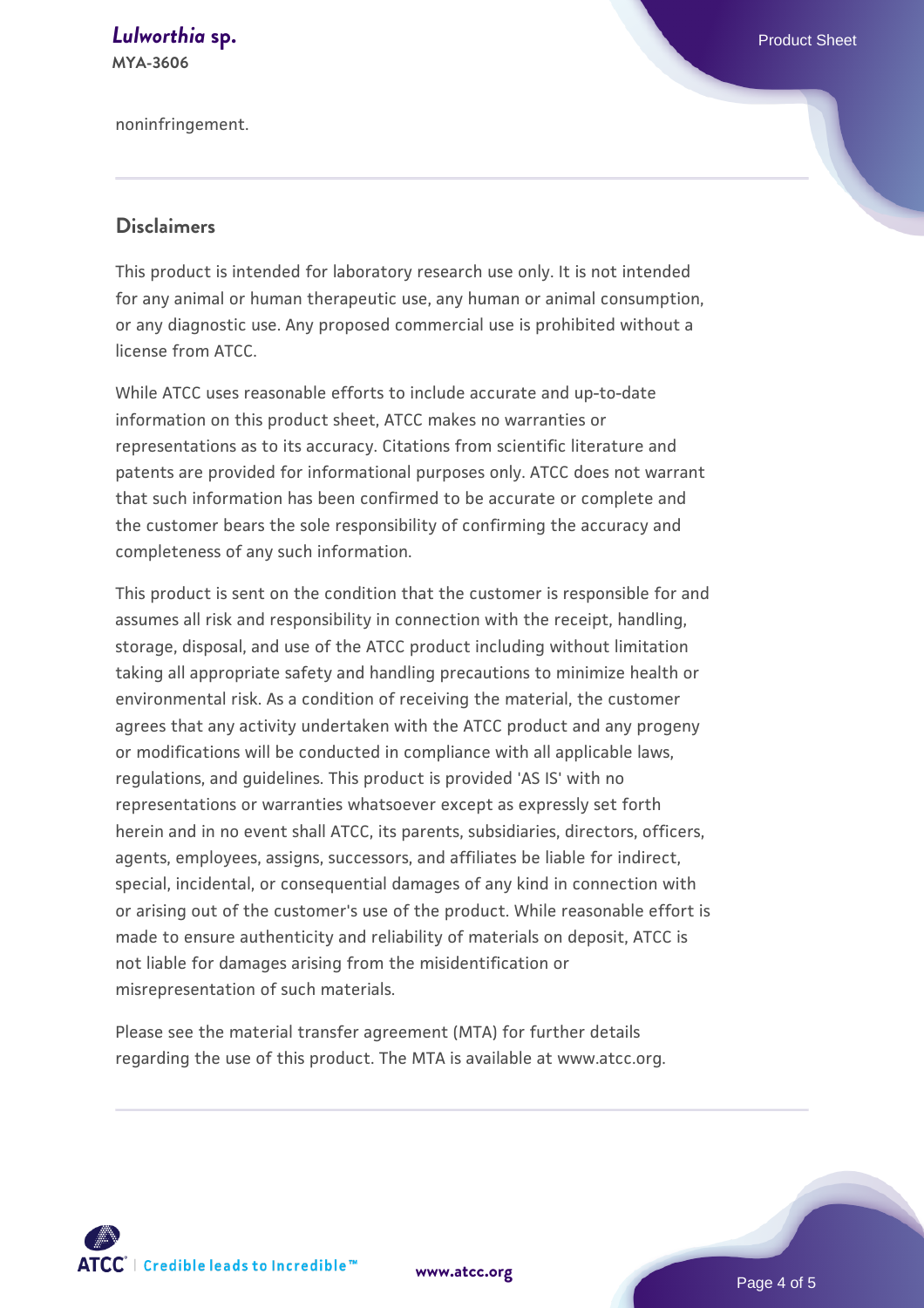#### **[Lulworthia](https://www.atcc.org/products/mya-3606)** [sp.](https://www.atcc.org/products/mya-3606) **Exercise Sheet** Sheet Sheet Sheet Sheet Sheet Sheet Sheet Sheet Sheet Sheet Sheet Sheet Sheet **MYA-3606**

noninfringement.

#### **Disclaimers**

This product is intended for laboratory research use only. It is not intended for any animal or human therapeutic use, any human or animal consumption, or any diagnostic use. Any proposed commercial use is prohibited without a license from ATCC.

While ATCC uses reasonable efforts to include accurate and up-to-date information on this product sheet, ATCC makes no warranties or representations as to its accuracy. Citations from scientific literature and patents are provided for informational purposes only. ATCC does not warrant that such information has been confirmed to be accurate or complete and the customer bears the sole responsibility of confirming the accuracy and completeness of any such information.

This product is sent on the condition that the customer is responsible for and assumes all risk and responsibility in connection with the receipt, handling, storage, disposal, and use of the ATCC product including without limitation taking all appropriate safety and handling precautions to minimize health or environmental risk. As a condition of receiving the material, the customer agrees that any activity undertaken with the ATCC product and any progeny or modifications will be conducted in compliance with all applicable laws, regulations, and guidelines. This product is provided 'AS IS' with no representations or warranties whatsoever except as expressly set forth herein and in no event shall ATCC, its parents, subsidiaries, directors, officers, agents, employees, assigns, successors, and affiliates be liable for indirect, special, incidental, or consequential damages of any kind in connection with or arising out of the customer's use of the product. While reasonable effort is made to ensure authenticity and reliability of materials on deposit, ATCC is not liable for damages arising from the misidentification or misrepresentation of such materials.

Please see the material transfer agreement (MTA) for further details regarding the use of this product. The MTA is available at www.atcc.org.



**[www.atcc.org](http://www.atcc.org)**

Page 4 of 5